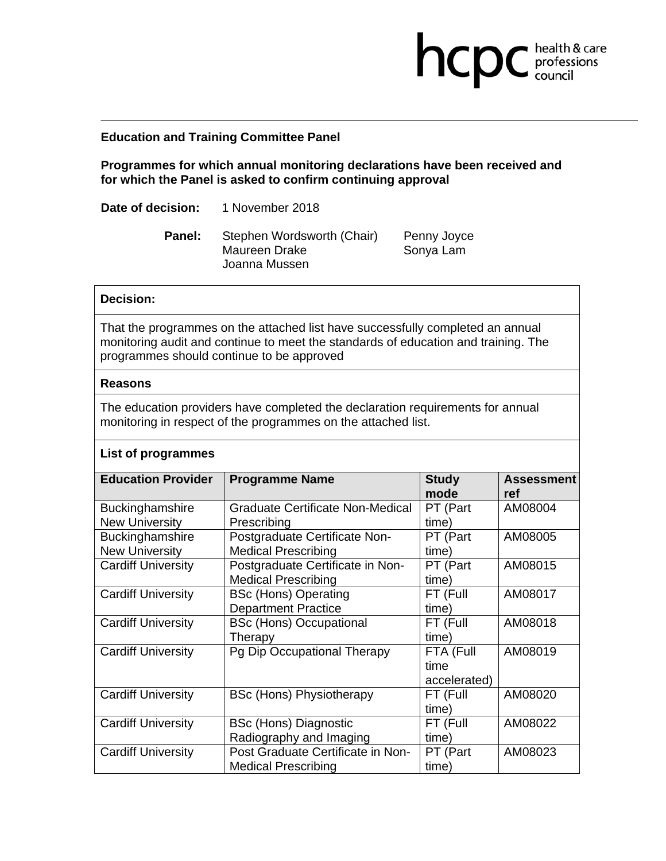## **Education and Training Committee Panel**

**Programmes for which annual monitoring declarations have been received and for which the Panel is asked to confirm continuing approval** 

**Date of decision:** 1 November 2018

Panel: Stephen Wordsworth (Chair) Penny Joyce Maureen Drake Sonya Lam Joanna Mussen

**health & care** 

## **Decision:**

That the programmes on the attached list have successfully completed an annual monitoring audit and continue to meet the standards of education and training. The programmes should continue to be approved

## **Reasons**

The education providers have completed the declaration requirements for annual monitoring in respect of the programmes on the attached list.

## **List of programmes**

| <b>Education Provider</b> | <b>Programme Name</b>             | <b>Study</b><br>mode | <b>Assessment</b><br>ref |
|---------------------------|-----------------------------------|----------------------|--------------------------|
| Buckinghamshire           | Graduate Certificate Non-Medical  | PT (Part             | AM08004                  |
| <b>New University</b>     | Prescribing                       | time)                |                          |
| <b>Buckinghamshire</b>    | Postgraduate Certificate Non-     | PT (Part             | AM08005                  |
| <b>New University</b>     | <b>Medical Prescribing</b>        | time)                |                          |
| <b>Cardiff University</b> | Postgraduate Certificate in Non-  | PT (Part             | AM08015                  |
|                           | <b>Medical Prescribing</b>        | time)                |                          |
| <b>Cardiff University</b> | <b>BSc (Hons) Operating</b>       | FT (Full             | AM08017                  |
|                           | <b>Department Practice</b>        | time)                |                          |
| <b>Cardiff University</b> | <b>BSc (Hons) Occupational</b>    | FT (Full             | AM08018                  |
|                           | Therapy                           | time)                |                          |
| <b>Cardiff University</b> | Pg Dip Occupational Therapy       | FTA (Full            | AM08019                  |
|                           |                                   | time                 |                          |
|                           |                                   | accelerated)         |                          |
| <b>Cardiff University</b> | <b>BSc (Hons) Physiotherapy</b>   | FT (Full             | AM08020                  |
|                           |                                   | time)                |                          |
| <b>Cardiff University</b> | BSc (Hons) Diagnostic             | FT (Full             | AM08022                  |
|                           | Radiography and Imaging           | time)                |                          |
| <b>Cardiff University</b> | Post Graduate Certificate in Non- | PT (Part             | AM08023                  |
|                           | <b>Medical Prescribing</b>        | time)                |                          |